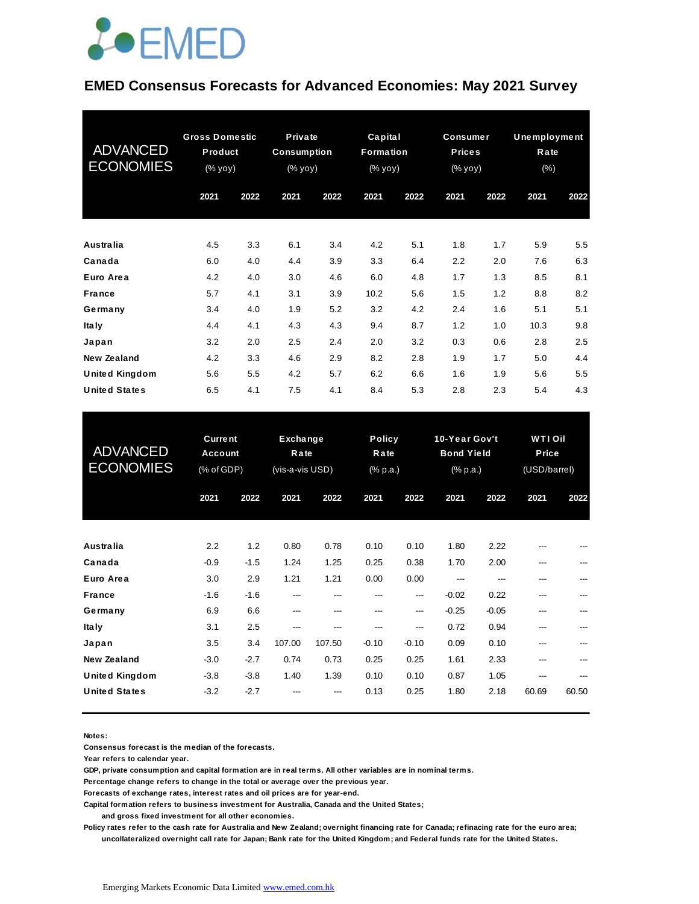### **JOEMED**

#### **EMED Consensus Forecasts for Advanced Economies: May 2021 Survey**

| <b>ADVANCED</b><br><b>ECONOMIES</b> | <b>Gross Domestic</b><br>Product<br>$(% \mathsf{Y}^{\prime }\mathsf{Y}^{\prime }\mathsf{Y})$ (% $\mathsf{Y}^{\prime }\mathsf{Y})$ |      | <b>Private</b><br><b>Consumption</b><br>$(% \mathbf{y}\mathbf{y})$ (% $\mathbf{y}\mathbf{0}\mathbf{y}$ ) |      | Capital<br><b>Formation</b><br>(% yoy) |      | <b>Consumer</b><br><b>Prices</b><br>$(\%$ yoy) |      | <b>Unemployment</b><br>Rate<br>(% ) |      |
|-------------------------------------|-----------------------------------------------------------------------------------------------------------------------------------|------|----------------------------------------------------------------------------------------------------------|------|----------------------------------------|------|------------------------------------------------|------|-------------------------------------|------|
|                                     | 2021                                                                                                                              | 2022 | 2021                                                                                                     | 2022 | 2021                                   | 2022 | 2021                                           | 2022 | 2021                                | 2022 |
| Australia                           | 4.5                                                                                                                               | 3.3  | 6.1                                                                                                      | 3.4  | 4.2                                    | 5.1  | 1.8                                            | 1.7  | 5.9                                 | 5.5  |
| Canada                              | 6.0                                                                                                                               | 4.0  | 4.4                                                                                                      | 3.9  | 3.3                                    | 6.4  | 2.2                                            | 2.0  | 7.6                                 | 6.3  |
| Euro Area                           | 4.2                                                                                                                               | 4.0  | 3.0                                                                                                      | 4.6  | 6.0                                    | 4.8  | 1.7                                            | 1.3  | 8.5                                 | 8.1  |
| <b>France</b>                       | 5.7                                                                                                                               | 4.1  | 3.1                                                                                                      | 3.9  | 10.2                                   | 5.6  | 1.5                                            | 1.2  | 8.8                                 | 8.2  |
| Germany                             | 3.4                                                                                                                               | 4.0  | 1.9                                                                                                      | 5.2  | 3.2                                    | 4.2  | 2.4                                            | 1.6  | 5.1                                 | 5.1  |
| <b>Italy</b>                        | 4.4                                                                                                                               | 4.1  | 4.3                                                                                                      | 4.3  | 9.4                                    | 8.7  | 1.2                                            | 1.0  | 10.3                                | 9.8  |
| Japan                               | 3.2                                                                                                                               | 2.0  | 2.5                                                                                                      | 2.4  | 2.0                                    | 3.2  | 0.3                                            | 0.6  | 2.8                                 | 2.5  |
| New Zealand                         | 4.2                                                                                                                               | 3.3  | 4.6                                                                                                      | 2.9  | 8.2                                    | 2.8  | 1.9                                            | 1.7  | 5.0                                 | 4.4  |
| <b>United Kingdom</b>               | 5.6                                                                                                                               | 5.5  | 4.2                                                                                                      | 5.7  | 6.2                                    | 6.6  | 1.6                                            | 1.9  | 5.6                                 | 5.5  |
| <b>United States</b>                | 6.5                                                                                                                               | 4.1  | 7.5                                                                                                      | 4.1  | 8.4                                    | 5.3  | 2.8                                            | 2.3  | 5.4                                 | 4.3  |

| <b>United States</b>                | 6.5                                            | 4.1           | 7.5                                 | 4.1           | 8.4                               | 5.3            | 2.8                                                               | 2.3          | 5.4                                     | 4.3   |
|-------------------------------------|------------------------------------------------|---------------|-------------------------------------|---------------|-----------------------------------|----------------|-------------------------------------------------------------------|--------------|-----------------------------------------|-------|
| <b>ADVANCED</b><br><b>ECONOMIES</b> | <b>Current</b><br><b>Account</b><br>(% of GDP) |               | Exchange<br>Rate<br>(vis-a-vis USD) |               | <b>Policy</b><br>Rate<br>(% p.a.) |                | 10-Year Gov't<br><b>Bond Yield</b><br>$(% \mathbb{R}^2)$ (% p.a.) |              | <b>WTI Oil</b><br>Price<br>(USD/barrel) |       |
|                                     | 2021                                           | 2022          | 2021                                | 2022          | 2021                              | 2022           | 2021                                                              | 2022         | 2021                                    | 2022  |
| Australia                           | 2.2                                            | 1.2           | 0.80                                | 0.78          | 0.10                              | 0.10           | 1.80                                                              | 2.22         |                                         |       |
| Canada                              | $-0.9$                                         | $-1.5$        | 1.24                                | 1.25          | 0.25                              | 0.38           | 1.70                                                              | 2.00         | ---                                     |       |
| Euro Area<br><b>France</b>          | 3.0<br>$-1.6$                                  | 2.9<br>$-1.6$ | 1.21<br>---                         | 1.21<br>---   | 0.00<br>---                       | 0.00<br>---    | ---<br>$-0.02$                                                    | ---<br>0.22  | ---<br>---                              | ---   |
| Germany                             | 6.9                                            | 6.6           | ---                                 | ---           | ---                               | ---            | $-0.25$<br>0.72                                                   | $-0.05$      | ---                                     |       |
| <b>Italy</b><br>Japan               | 3.1<br>3.5                                     | 2.5<br>3.4    | ---<br>107.00                       | ---<br>107.50 | ---<br>$-0.10$                    | ---<br>$-0.10$ | 0.09                                                              | 0.94<br>0.10 | ---<br>---                              |       |
| <b>New Zealand</b>                  | $-3.0$                                         | $-2.7$        | 0.74                                | 0.73          | 0.25                              | 0.25           | 1.61                                                              | 2.33         | ---                                     |       |
| <b>United Kingdom</b>               | $-3.8$                                         | $-3.8$        | 1.40                                | 1.39          | 0.10                              | 0.10           | 0.87                                                              | 1.05         |                                         |       |
| <b>United States</b>                | $-3.2$                                         | $-2.7$        |                                     |               | 0.13                              | 0.25           | 1.80                                                              | 2.18         | 60.69                                   | 60.50 |

**Notes:** 

**Consensus forecast is the median of the forecasts.**

**Year refers to calendar year.**

**GDP, private consumption and capital formation are in real terms. All other variables are in nominal terms.**

**Percentage change refers to change in the total or average over the previous year.**

**Forecasts of exchange rates, interest rates and oil prices are for year-end.**

**Capital formation refers to business investment for Australia, Canada and the United States;**

 **and gross fixed investment for all other economies.**

**Policy rates refer to the cash rate for Australia and New Zealand; overnight financing rate for Canada; refinacing rate for the euro area; uncollateralized overnight call rate for Japan; Bank rate for the United Kingdom; and Federal funds rate for the United States.**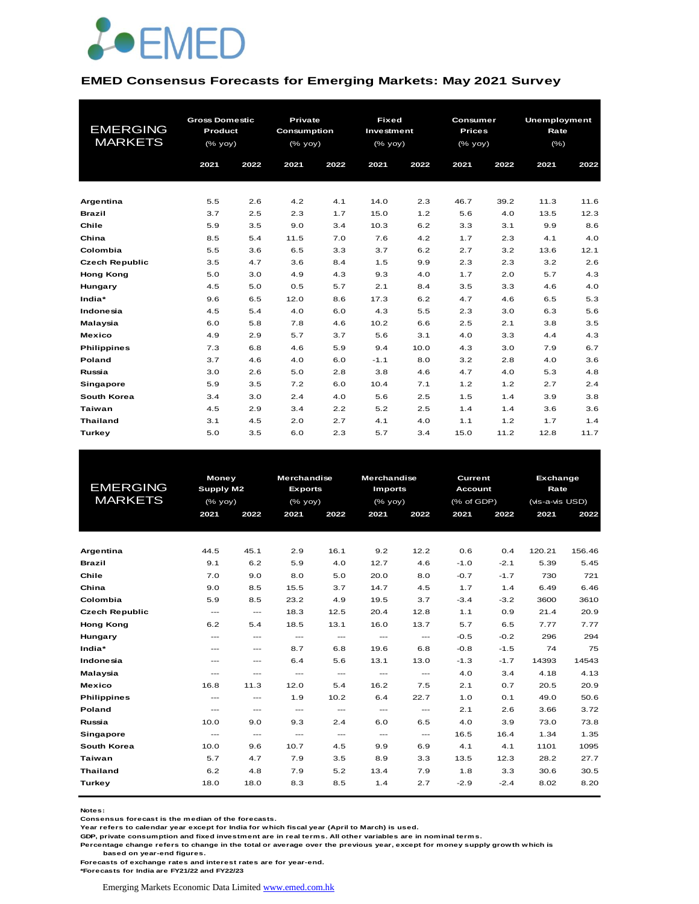

#### **EMED Consensus Forecasts for Emerging Markets: May 2021 Survey**

|                       | <b>Gross Domestic</b> |      | <b>Private</b>                                 |      | <b>Fixed</b> |      | Consumer      |      | <b>Unemployment</b> |      |  |  |
|-----------------------|-----------------------|------|------------------------------------------------|------|--------------|------|---------------|------|---------------------|------|--|--|
| <b>EMERGING</b>       | Product               |      | Consumption                                    |      | Investment   |      | <b>Prices</b> |      | Rate                |      |  |  |
| <b>MARKETS</b>        | (% yoy)               |      | $(% \mathsf{A}\rightarrow \mathsf{B})$ (% yoy) |      | (% yoy)      |      | (% yoy)       |      | $(\% )$             |      |  |  |
|                       |                       |      |                                                |      |              |      |               |      |                     |      |  |  |
|                       | 2021                  | 2022 | 2021                                           | 2022 | 2021         | 2022 | 2021          | 2022 | 2021                | 2022 |  |  |
|                       |                       |      |                                                |      |              |      |               |      |                     |      |  |  |
| Argentina             | 5.5                   | 2.6  | 4.2                                            | 4.1  | 14.0         | 2.3  | 46.7          | 39.2 | 11.3                | 11.6 |  |  |
| <b>Brazil</b>         | 3.7                   | 2.5  | 2.3                                            | 1.7  | 15.0         | 1.2  | 5.6           | 4.0  | 13.5                | 12.3 |  |  |
| Chile                 | 5.9                   | 3.5  | 9.0                                            | 3.4  | 10.3         | 6.2  | 3.3           | 3.1  | 9.9                 | 8.6  |  |  |
| China                 | 8.5                   | 5.4  | 11.5                                           | 7.0  | 7.6          | 4.2  | 1.7           | 2.3  | 4.1                 | 4.0  |  |  |
| Colombia              | 5.5                   | 3.6  | 6.5                                            | 3.3  | 3.7          | 6.2  | 2.7           | 3.2  | 13.6                | 12.1 |  |  |
| <b>Czech Republic</b> | 3.5                   | 4.7  | 3.6                                            | 8.4  | 1.5          | 9.9  | 2.3           | 2.3  | 3.2                 | 2.6  |  |  |
| <b>Hong Kong</b>      | 5.0                   | 3.0  | 4.9                                            | 4.3  | 9.3          | 4.0  | 1.7           | 2.0  | 5.7                 | 4.3  |  |  |
| Hungary               | 4.5                   | 5.0  | 0.5                                            | 5.7  | 2.1          | 8.4  | 3.5           | 3.3  | 4.6                 | 4.0  |  |  |
| India*                | 9.6                   | 6.5  | 12.0                                           | 8.6  | 17.3         | 6.2  | 4.7           | 4.6  | 6.5                 | 5.3  |  |  |
| Indonesia             | 4.5                   | 5.4  | 4.0                                            | 6.0  | 4.3          | 5.5  | 2.3           | 3.0  | 6.3                 | 5.6  |  |  |
| Malaysia              | 6.0                   | 5.8  | 7.8                                            | 4.6  | 10.2         | 6.6  | 2.5           | 2.1  | 3.8                 | 3.5  |  |  |
| <b>Mexico</b>         | 4.9                   | 2.9  | 5.7                                            | 3.7  | 5.6          | 3.1  | 4.0           | 3.3  | 4.4                 | 4.3  |  |  |
| <b>Philippines</b>    | 7.3                   | 6.8  | 4.6                                            | 5.9  | 9.4          | 10.0 | 4.3           | 3.0  | 7.9                 | 6.7  |  |  |
| Poland                | 3.7                   | 4.6  | 4.0                                            | 6.0  | $-1.1$       | 8.0  | 3.2           | 2.8  | 4.0                 | 3.6  |  |  |
| Russia                | 3.0                   | 2.6  | 5.0                                            | 2.8  | 3.8          | 4.6  | 4.7           | 4.0  | 5.3                 | 4.8  |  |  |
| <b>Singapore</b>      | 5.9                   | 3.5  | 7.2                                            | 6.0  | 10.4         | 7.1  | 1.2           | 1.2  | 2.7                 | 2.4  |  |  |
| South Korea           | 3.4                   | 3.0  | 2.4                                            | 4.0  | 5.6          | 2.5  | 1.5           | 1.4  | 3.9                 | 3.8  |  |  |
| Taiwan                | 4.5                   | 2.9  | 3.4                                            | 2.2  | 5.2          | 2.5  | 1.4           | 1.4  | 3.6                 | 3.6  |  |  |
| <b>Thailand</b>       | 3.1                   | 4.5  | 2.0                                            | 2.7  | 4.1          | 4.0  | 1.1           | 1.2  | 1.7                 | 1.4  |  |  |
| Turkey                | 5.0                   | 3.5  | 6.0                                            | 2.3  | 5.7          | 3.4  | 15.0          | 11.2 | 12.8                | 11.7 |  |  |

|                       |                           | <b>Money</b>             |                | <b>Merchandise</b> | <b>Merchandise</b> |                        | Current    |                        |      |                                                                                                                                                                                                                           |  |  |  |
|-----------------------|---------------------------|--------------------------|----------------|--------------------|--------------------|------------------------|------------|------------------------|------|---------------------------------------------------------------------------------------------------------------------------------------------------------------------------------------------------------------------------|--|--|--|
| <b>EMERGING</b>       | Supply M2                 |                          | <b>Exports</b> |                    | <b>Imports</b>     |                        |            | Rate<br><b>Account</b> |      |                                                                                                                                                                                                                           |  |  |  |
| <b>MARKETS</b>        | $(%$ (% yoy)              |                          | (% yoy)        |                    | $(%$ (% yoy)       |                        | (% of GDP) |                        |      | Exchange<br>(vis-a-vis USD)<br>2021<br>2022<br>120.21<br>156.46<br>5.39<br>5.45<br>730<br>721<br>6.46<br>6.49<br>3600<br>3610<br>20.9<br>21.4<br>7.77<br>7.77<br>296<br>294<br>74<br>75<br>14393<br>14543<br>4.18<br>4.13 |  |  |  |
|                       | 2021                      | 2022                     | 2021           | 2022               | 2021               | 2022                   | 2021       | 2022                   |      |                                                                                                                                                                                                                           |  |  |  |
|                       |                           |                          |                |                    |                    |                        |            |                        |      |                                                                                                                                                                                                                           |  |  |  |
|                       |                           |                          |                |                    |                    |                        |            |                        |      |                                                                                                                                                                                                                           |  |  |  |
| Argentina             | 44.5                      | 45.1                     | 2.9            | 16.1               | 9.2                | 12.2                   | 0.6        | 0.4                    |      |                                                                                                                                                                                                                           |  |  |  |
| <b>Brazil</b>         | 9.1                       | 6.2                      | 5.9            | 4.0                | 12.7               | 4.6                    | $-1.0$     | $-2.1$                 |      |                                                                                                                                                                                                                           |  |  |  |
| Chile                 | 7.0                       | 9.0                      | 8.0            | 5.0                | 20.0               | 8.0                    | $-0.7$     | $-1.7$                 |      |                                                                                                                                                                                                                           |  |  |  |
| China                 | 9.0                       | 8.5                      | 15.5           | 3.7                | 14.7               | 4.5                    | 1.7        | 1.4                    |      |                                                                                                                                                                                                                           |  |  |  |
| Colombia              | 5.9                       | 8.5                      | 23.2           | 4.9                | 19.5               | 3.7                    | $-3.4$     | $-3.2$                 |      |                                                                                                                                                                                                                           |  |  |  |
| <b>Czech Republic</b> | $\hspace{0.05cm} \ldots$  | $\hspace{0.05cm} \ldots$ | 18.3           | 12.5               | 20.4               | 12.8                   | 1.1        | 0.9                    |      |                                                                                                                                                                                                                           |  |  |  |
| <b>Hong Kong</b>      | 6.2                       | 5.4                      | 18.5           | 13.1               | 16.0               | 13.7                   | 5.7        | 6.5                    |      |                                                                                                                                                                                                                           |  |  |  |
| Hungary               | $---$                     | ---                      | $\cdots$       | ---                | $\cdots$           | $\hspace{0.05cm}$      | $-0.5$     | $-0.2$                 |      |                                                                                                                                                                                                                           |  |  |  |
| India*                | $\qquad \qquad -\qquad -$ | ---                      | 8.7            | 6.8                | 19.6               | 6.8                    | $-0.8$     | $-1.5$                 |      |                                                                                                                                                                                                                           |  |  |  |
| Indonesia             | $\cdots$                  | $---$                    | 6.4            | 5.6                | 13.1               | 13.0                   | $-1.3$     | $-1.7$                 |      |                                                                                                                                                                                                                           |  |  |  |
| Malaysia              | ---                       | ---                      | ---            | $\cdots$           | $\qquad \qquad -$  | $\qquad \qquad \cdots$ | 4.0        | 3.4                    |      |                                                                                                                                                                                                                           |  |  |  |
| <b>Mexico</b>         | 16.8                      | 11.3                     | 12.0           | 5.4                | 16.2               | 7.5                    | 2.1        | 0.7                    | 20.5 | 20.9                                                                                                                                                                                                                      |  |  |  |
| <b>Philippines</b>    | $\hspace{0.05cm} \ldots$  | $\hspace{0.05cm} \ldots$ | 1.9            | 10.2               | 6.4                | 22.7                   | 1.0        | 0.1                    | 49.0 | 50.6                                                                                                                                                                                                                      |  |  |  |
| Poland                | $---$                     | ---                      | $\cdots$       | ---                | $\cdots$           | $\cdots$               | 2.1        | 2.6                    | 3.66 | 3.72                                                                                                                                                                                                                      |  |  |  |
| Russia                | 10.0                      | 9.0                      | 9.3            | 2.4                | 6.0                | 6.5                    | 4.0        | 3.9                    | 73.0 | 73.8                                                                                                                                                                                                                      |  |  |  |
| Singapore             | $\cdots$                  | ---                      | ---            | ---                | $\cdots$           | $\hspace{0.05cm}$      | 16.5       | 16.4                   | 1.34 | 1.35                                                                                                                                                                                                                      |  |  |  |
| <b>South Korea</b>    | 10.0                      | 9.6                      | 10.7           | 4.5                | 9.9                | 6.9                    | 4.1        | 4.1                    | 1101 | 1095                                                                                                                                                                                                                      |  |  |  |
| <b>Taiwan</b>         | 5.7                       | 4.7                      | 7.9            | 3.5                | 8.9                | 3.3                    | 13.5       | 12.3                   | 28.2 | 27.7                                                                                                                                                                                                                      |  |  |  |
| <b>Thailand</b>       | 6.2                       | 4.8                      | 7.9            | 5.2                | 13.4               | 7.9                    | 1.8        | 3.3                    | 30.6 | 30.5                                                                                                                                                                                                                      |  |  |  |
| Turkey                | 18.0                      | 18.0                     | 8.3            | 8.5                | 1.4                | 2.7                    | $-2.9$     | $-2.4$                 | 8.02 | 8.20                                                                                                                                                                                                                      |  |  |  |
|                       |                           |                          |                |                    |                    |                        |            |                        |      |                                                                                                                                                                                                                           |  |  |  |

**Notes:** 

**Consensus forecast is the median of the forecasts.**

**Year refers to calendar year except for India for which fiscal year (April to March) is used.**

**GDP, private consumption and fixed investment are in real terms. All other variables are in nominal terms.**

**Percentage change refers to change in the total or average over the previous year, except for money supply growth which is** 

 **based on year-end figures.**

**Forecasts of exchange rates and interest rates are for year-end.**

**\*Forecasts for India are FY21/22 and FY22/23**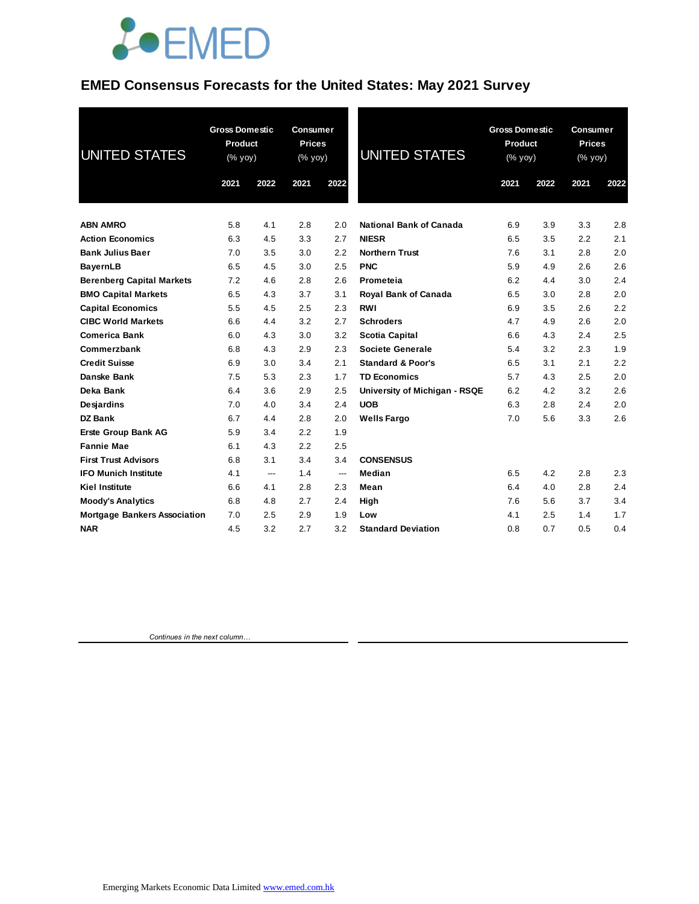

### **EMED Consensus Forecasts for the United States: May 2021 Survey**

| <b>UNITED STATES</b>                | <b>Gross Domestic</b><br>Product<br>(% yoy) |      | Consumer<br><b>Prices</b><br>(% yoy) |                          | <b>UNITED STATES</b>           | <b>Gross Domestic</b><br>Product<br>$(\%$ yoy) |      | <b>Consumer</b><br><b>Prices</b><br>(% yoy) |      |
|-------------------------------------|---------------------------------------------|------|--------------------------------------|--------------------------|--------------------------------|------------------------------------------------|------|---------------------------------------------|------|
|                                     | 2021                                        | 2022 | 2021                                 | 2022                     |                                | 2021                                           | 2022 | 2021                                        | 2022 |
| <b>ABN AMRO</b>                     | 5.8                                         | 4.1  | 2.8                                  | 2.0                      | <b>National Bank of Canada</b> | 6.9                                            | 3.9  | 3.3                                         | 2.8  |
| <b>Action Economics</b>             | 6.3                                         | 4.5  | 3.3                                  | 2.7                      | <b>NIESR</b>                   | 6.5                                            | 3.5  | 2.2                                         | 2.1  |
| <b>Bank Julius Baer</b>             | 7.0                                         | 3.5  | 3.0                                  | 2.2                      | <b>Northern Trust</b>          | 7.6                                            | 3.1  | 2.8                                         | 2.0  |
| <b>BayernLB</b>                     | 6.5                                         | 4.5  | 3.0                                  | 2.5                      | <b>PNC</b>                     | 5.9                                            | 4.9  | 2.6                                         | 2.6  |
| <b>Berenberg Capital Markets</b>    | 7.2                                         | 4.6  | 2.8                                  | 2.6                      | Prometeia                      | 6.2                                            | 4.4  | 3.0                                         | 2.4  |
| <b>BMO Capital Markets</b>          | 6.5                                         | 4.3  | 3.7                                  | 3.1                      | <b>Royal Bank of Canada</b>    | 6.5                                            | 3.0  | 2.8                                         | 2.0  |
| <b>Capital Economics</b>            | 5.5                                         | 4.5  | 2.5                                  | 2.3                      | <b>RWI</b>                     | 6.9                                            | 3.5  | 2.6                                         | 2.2  |
| <b>CIBC World Markets</b>           | 6.6                                         | 4.4  | 3.2                                  | 2.7                      | <b>Schroders</b>               | 4.7                                            | 4.9  | 2.6                                         | 2.0  |
| <b>Comerica Bank</b>                | 6.0                                         | 4.3  | 3.0                                  | 3.2                      | <b>Scotia Capital</b>          | 6.6                                            | 4.3  | 2.4                                         | 2.5  |
| Commerzbank                         | 6.8                                         | 4.3  | 2.9                                  | 2.3                      | <b>Societe Generale</b>        | 5.4                                            | 3.2  | 2.3                                         | 1.9  |
| <b>Credit Suisse</b>                | 6.9                                         | 3.0  | 3.4                                  | 2.1                      | <b>Standard &amp; Poor's</b>   | 6.5                                            | 3.1  | 2.1                                         | 2.2  |
| Danske Bank                         | 7.5                                         | 5.3  | 2.3                                  | 1.7                      | <b>TD Economics</b>            | 5.7                                            | 4.3  | 2.5                                         | 2.0  |
| Deka Bank                           | 6.4                                         | 3.6  | 2.9                                  | 2.5                      | University of Michigan - RSQE  | 6.2                                            | 4.2  | 3.2                                         | 2.6  |
| Desjardins                          | 7.0                                         | 4.0  | 3.4                                  | 2.4                      | <b>UOB</b>                     | 6.3                                            | 2.8  | 2.4                                         | 2.0  |
| <b>DZ Bank</b>                      | 6.7                                         | 4.4  | 2.8                                  | 2.0                      | <b>Wells Fargo</b>             | 7.0                                            | 5.6  | 3.3                                         | 2.6  |
| <b>Erste Group Bank AG</b>          | 5.9                                         | 3.4  | 2.2                                  | 1.9                      |                                |                                                |      |                                             |      |
| <b>Fannie Mae</b>                   | 6.1                                         | 4.3  | 2.2                                  | 2.5                      |                                |                                                |      |                                             |      |
| <b>First Trust Advisors</b>         | 6.8                                         | 3.1  | 3.4                                  | 3.4                      | <b>CONSENSUS</b>               |                                                |      |                                             |      |
| <b>IFO Munich Institute</b>         | 4.1                                         | ---  | 1.4                                  | $\overline{\phantom{a}}$ | Median                         | 6.5                                            | 4.2  | 2.8                                         | 2.3  |
| <b>Kiel Institute</b>               | 6.6                                         | 4.1  | 2.8                                  | 2.3                      | Mean                           | 6.4                                            | 4.0  | 2.8                                         | 2.4  |
| <b>Moody's Analytics</b>            | 6.8                                         | 4.8  | 2.7                                  | 2.4                      | High                           | 7.6                                            | 5.6  | 3.7                                         | 3.4  |
| <b>Mortgage Bankers Association</b> | 7.0                                         | 2.5  | 2.9                                  | 1.9                      | Low                            | 4.1                                            | 2.5  | 1.4                                         | 1.7  |
| <b>NAR</b>                          | 4.5                                         | 3.2  | 2.7                                  | 3.2                      | <b>Standard Deviation</b>      | 0.8                                            | 0.7  | 0.5                                         | 0.4  |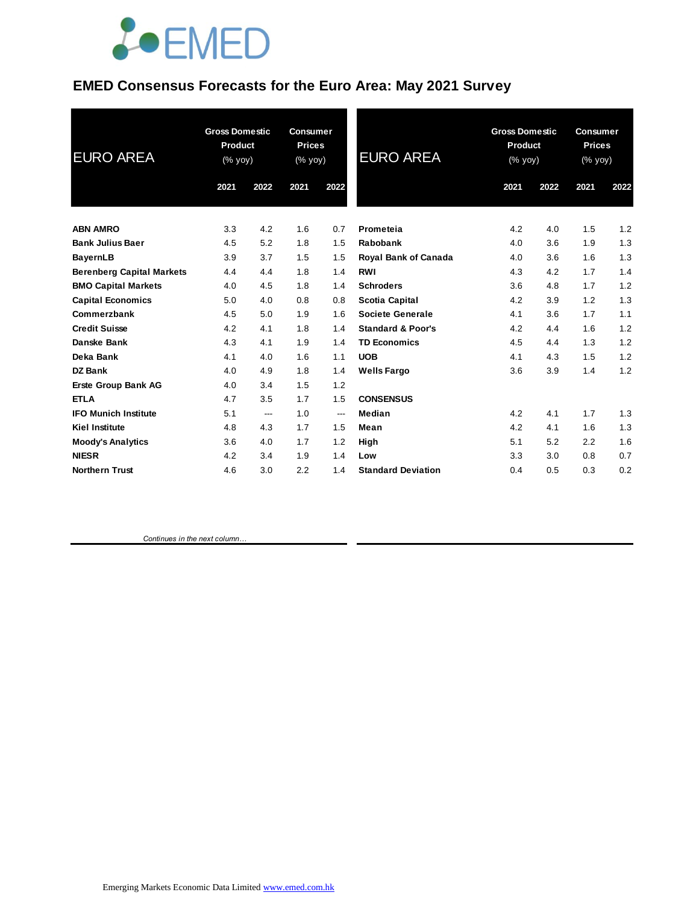

### **EMED Consensus Forecasts for the Euro Area: May 2021 Survey**

| <b>EURO AREA</b>                 | <b>Gross Domestic</b><br>Product<br>(% yoy) |      | <b>Consumer</b><br><b>Prices</b><br>(% yoy) |      | <b>EURO AREA</b>             | <b>Gross Domestic</b><br>Product<br>(% yoy) |      | <b>Consumer</b><br><b>Prices</b><br>(% yoy) |      |
|----------------------------------|---------------------------------------------|------|---------------------------------------------|------|------------------------------|---------------------------------------------|------|---------------------------------------------|------|
|                                  | 2021                                        | 2022 | 2021                                        | 2022 |                              | 2021                                        | 2022 | 2021                                        | 2022 |
| <b>ABN AMRO</b>                  | 3.3                                         | 4.2  | 1.6                                         | 0.7  | Prometeia                    | 4.2                                         | 4.0  | 1.5                                         | 1.2  |
| <b>Bank Julius Baer</b>          | 4.5                                         | 5.2  | 1.8                                         | 1.5  | Rabobank                     | 4.0                                         | 3.6  | 1.9                                         | 1.3  |
| <b>BayernLB</b>                  | 3.9                                         | 3.7  | 1.5                                         | 1.5  | <b>Royal Bank of Canada</b>  | 4.0                                         | 3.6  | 1.6                                         | 1.3  |
| <b>Berenberg Capital Markets</b> | 4.4                                         | 4.4  | 1.8                                         | 1.4  | <b>RWI</b>                   | 4.3                                         | 4.2  | 1.7                                         | 1.4  |
| <b>BMO Capital Markets</b>       | 4.0                                         | 4.5  | 1.8                                         | 1.4  | <b>Schroders</b>             | 3.6                                         | 4.8  | 1.7                                         | 1.2  |
| <b>Capital Economics</b>         | 5.0                                         | 4.0  | 0.8                                         | 0.8  | <b>Scotia Capital</b>        | 4.2                                         | 3.9  | 1.2                                         | 1.3  |
| Commerzbank                      | 4.5                                         | 5.0  | 1.9                                         | 1.6  | Societe Generale             | 4.1                                         | 3.6  | 1.7                                         | 1.1  |
| <b>Credit Suisse</b>             | 4.2                                         | 4.1  | 1.8                                         | 1.4  | <b>Standard &amp; Poor's</b> | 4.2                                         | 4.4  | 1.6                                         | 1.2  |
| Danske Bank                      | 4.3                                         | 4.1  | 1.9                                         | 1.4  | <b>TD Economics</b>          | 4.5                                         | 4.4  | 1.3                                         | 1.2  |
| Deka Bank                        | 4.1                                         | 4.0  | 1.6                                         | 1.1  | <b>UOB</b>                   | 4.1                                         | 4.3  | 1.5                                         | 1.2  |
| <b>DZ Bank</b>                   | 4.0                                         | 4.9  | 1.8                                         | 1.4  | <b>Wells Fargo</b>           | 3.6                                         | 3.9  | 1.4                                         | 1.2  |
| <b>Erste Group Bank AG</b>       | 4.0                                         | 3.4  | 1.5                                         | 1.2  |                              |                                             |      |                                             |      |
| <b>ETLA</b>                      | 4.7                                         | 3.5  | 1.7                                         | 1.5  | <b>CONSENSUS</b>             |                                             |      |                                             |      |
| <b>IFO Munich Institute</b>      | 5.1                                         | ---  | 1.0                                         | ---  | Median                       | 4.2                                         | 4.1  | 1.7                                         | 1.3  |
| <b>Kiel Institute</b>            | 4.8                                         | 4.3  | 1.7                                         | 1.5  | Mean                         | 4.2                                         | 4.1  | 1.6                                         | 1.3  |
| <b>Moody's Analytics</b>         | 3.6                                         | 4.0  | 1.7                                         | 1.2  | High                         | 5.1                                         | 5.2  | 2.2                                         | 1.6  |
| <b>NIESR</b>                     | 4.2                                         | 3.4  | 1.9                                         | 1.4  | Low                          | 3.3                                         | 3.0  | 0.8                                         | 0.7  |
| <b>Northern Trust</b>            | 4.6                                         | 3.0  | 2.2                                         | 1.4  | <b>Standard Deviation</b>    | 0.4                                         | 0.5  | 0.3                                         | 0.2  |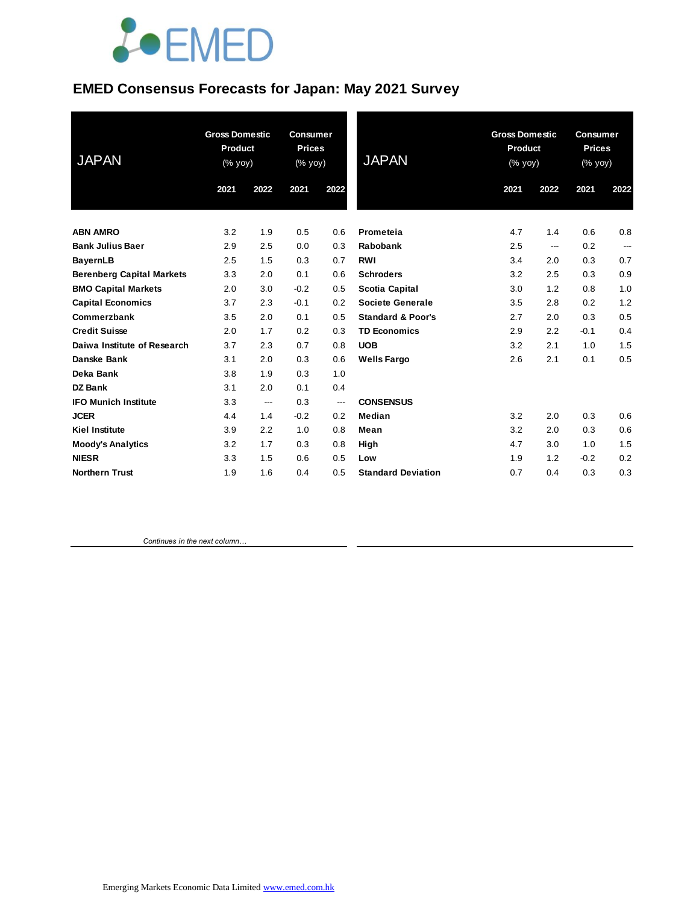# **JOEMED**

### **EMED Consensus Forecasts for Japan: May 2021 Survey**

| <b>JAPAN</b>                     | <b>Gross Domestic</b><br><b>Product</b><br>$(%$ yoy) |      | <b>Consumer</b><br><b>Prices</b><br>(% yoy) |      | <b>JAPAN</b>                 | <b>Gross Domestic</b><br><b>Product</b><br>(% yoy) |      | <b>Consumer</b><br><b>Prices</b><br>(% yoy) |      |
|----------------------------------|------------------------------------------------------|------|---------------------------------------------|------|------------------------------|----------------------------------------------------|------|---------------------------------------------|------|
|                                  | 2021                                                 | 2022 | 2021                                        | 2022 |                              | 2021                                               | 2022 | 2021                                        | 2022 |
| <b>ABN AMRO</b>                  | 3.2                                                  | 1.9  | 0.5                                         | 0.6  | Prometeia                    | 4.7                                                | 1.4  | 0.6                                         | 0.8  |
| <b>Bank Julius Baer</b>          | 2.9                                                  | 2.5  | 0.0                                         | 0.3  | Rabobank                     | 2.5                                                | ---  | 0.2                                         | ---  |
| BayernLB                         | 2.5                                                  | 1.5  | 0.3                                         | 0.7  | <b>RWI</b>                   | 3.4                                                | 2.0  | 0.3                                         | 0.7  |
| <b>Berenberg Capital Markets</b> | 3.3                                                  | 2.0  | 0.1                                         | 0.6  | <b>Schroders</b>             | 3.2                                                | 2.5  | 0.3                                         | 0.9  |
| <b>BMO Capital Markets</b>       | 2.0                                                  | 3.0  | $-0.2$                                      | 0.5  | <b>Scotia Capital</b>        | 3.0                                                | 1.2  | 0.8                                         | 1.0  |
| <b>Capital Economics</b>         | 3.7                                                  | 2.3  | $-0.1$                                      | 0.2  | <b>Societe Generale</b>      | 3.5                                                | 2.8  | 0.2                                         | 1.2  |
| Commerzbank                      | 3.5                                                  | 2.0  | 0.1                                         | 0.5  | <b>Standard &amp; Poor's</b> | 2.7                                                | 2.0  | 0.3                                         | 0.5  |
| <b>Credit Suisse</b>             | 2.0                                                  | 1.7  | 0.2                                         | 0.3  | <b>TD Economics</b>          | 2.9                                                | 2.2  | $-0.1$                                      | 0.4  |
| Daiwa Institute of Research      | 3.7                                                  | 2.3  | 0.7                                         | 0.8  | <b>UOB</b>                   | 3.2                                                | 2.1  | 1.0                                         | 1.5  |
| Danske Bank                      | 3.1                                                  | 2.0  | 0.3                                         | 0.6  | <b>Wells Fargo</b>           | 2.6                                                | 2.1  | 0.1                                         | 0.5  |
| Deka Bank                        | 3.8                                                  | 1.9  | 0.3                                         | 1.0  |                              |                                                    |      |                                             |      |
| <b>DZ Bank</b>                   | 3.1                                                  | 2.0  | 0.1                                         | 0.4  |                              |                                                    |      |                                             |      |
| <b>IFO Munich Institute</b>      | 3.3                                                  | ---  | 0.3                                         | ---  | <b>CONSENSUS</b>             |                                                    |      |                                             |      |
| <b>JCER</b>                      | 4.4                                                  | 1.4  | $-0.2$                                      | 0.2  | Median                       | 3.2                                                | 2.0  | 0.3                                         | 0.6  |
| <b>Kiel Institute</b>            | 3.9                                                  | 2.2  | 1.0                                         | 0.8  | Mean                         | 3.2                                                | 2.0  | 0.3                                         | 0.6  |
| <b>Moody's Analytics</b>         | 3.2                                                  | 1.7  | 0.3                                         | 0.8  | High                         | 4.7                                                | 3.0  | 1.0                                         | 1.5  |
| <b>NIESR</b>                     | 3.3                                                  | 1.5  | 0.6                                         | 0.5  | Low                          | 1.9                                                | 1.2  | $-0.2$                                      | 0.2  |
| <b>Northern Trust</b>            | 1.9                                                  | 1.6  | 0.4                                         | 0.5  | <b>Standard Deviation</b>    | 0.7                                                | 0.4  | 0.3                                         | 0.3  |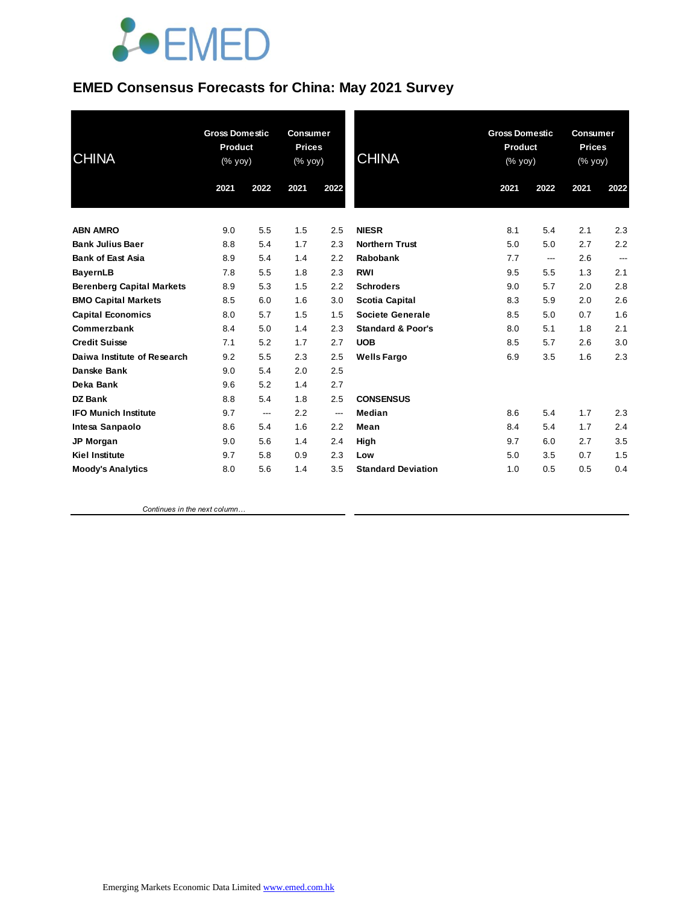# **JOEMED**

### **EMED Consensus Forecasts for China: May 2021 Survey**

| <b>Gross Domestic</b><br><b>Product</b><br>(% yoy) |                                                             | <b>Consumer</b><br><b>Prices</b><br>(% yoy)                        |                                                             | <b>CHINA</b>                                                | <b>Gross Domestic</b><br><b>Product</b><br>(% yoy)                                                                                                                              |                                                                    | <b>Consumer</b><br><b>Prices</b><br>(% yoy)                        |                                                             |
|----------------------------------------------------|-------------------------------------------------------------|--------------------------------------------------------------------|-------------------------------------------------------------|-------------------------------------------------------------|---------------------------------------------------------------------------------------------------------------------------------------------------------------------------------|--------------------------------------------------------------------|--------------------------------------------------------------------|-------------------------------------------------------------|
| 2021                                               | 2022                                                        | 2021                                                               | 2022                                                        |                                                             | 2021                                                                                                                                                                            | 2022                                                               | 2021                                                               | 2022                                                        |
|                                                    |                                                             |                                                                    |                                                             |                                                             |                                                                                                                                                                                 |                                                                    |                                                                    | 2.3                                                         |
|                                                    |                                                             |                                                                    |                                                             |                                                             |                                                                                                                                                                                 |                                                                    |                                                                    | 2.2                                                         |
|                                                    |                                                             |                                                                    |                                                             |                                                             |                                                                                                                                                                                 |                                                                    |                                                                    | $\qquad \qquad \cdots$                                      |
|                                                    |                                                             |                                                                    |                                                             |                                                             |                                                                                                                                                                                 |                                                                    |                                                                    | 2.1                                                         |
|                                                    |                                                             |                                                                    |                                                             |                                                             |                                                                                                                                                                                 |                                                                    |                                                                    | 2.8                                                         |
|                                                    |                                                             |                                                                    |                                                             |                                                             |                                                                                                                                                                                 |                                                                    |                                                                    | 2.6                                                         |
|                                                    |                                                             |                                                                    |                                                             |                                                             |                                                                                                                                                                                 |                                                                    |                                                                    | 1.6                                                         |
|                                                    |                                                             |                                                                    |                                                             |                                                             |                                                                                                                                                                                 |                                                                    |                                                                    | 2.1                                                         |
| 7.1                                                |                                                             | 1.7                                                                | 2.7                                                         | <b>UOB</b>                                                  |                                                                                                                                                                                 |                                                                    | 2.6                                                                | 3.0                                                         |
|                                                    |                                                             |                                                                    |                                                             |                                                             |                                                                                                                                                                                 |                                                                    |                                                                    | 2.3                                                         |
| 9.0                                                | 5.4                                                         | 2.0                                                                | 2.5                                                         |                                                             |                                                                                                                                                                                 |                                                                    |                                                                    |                                                             |
| 9.6                                                | 5.2                                                         | 1.4                                                                | 2.7                                                         |                                                             |                                                                                                                                                                                 |                                                                    |                                                                    |                                                             |
| 8.8                                                | 5.4                                                         | 1.8                                                                | 2.5                                                         | <b>CONSENSUS</b>                                            |                                                                                                                                                                                 |                                                                    |                                                                    |                                                             |
| 9.7                                                | ---                                                         | 2.2                                                                | ---                                                         | Median                                                      | 8.6                                                                                                                                                                             | 5.4                                                                | 1.7                                                                | 2.3                                                         |
| 8.6                                                | 5.4                                                         | 1.6                                                                | 2.2                                                         | Mean                                                        | 8.4                                                                                                                                                                             | 5.4                                                                | 1.7                                                                | 2.4                                                         |
| 9.0                                                | 5.6                                                         | 1.4                                                                | 2.4                                                         | High                                                        | 9.7                                                                                                                                                                             | 6.0                                                                | 2.7                                                                | 3.5                                                         |
| 9.7                                                | 5.8                                                         | 0.9                                                                | 2.3                                                         | Low                                                         | 5.0                                                                                                                                                                             | 3.5                                                                | 0.7                                                                | 1.5                                                         |
| 8.0                                                | 5.6                                                         | 1.4                                                                | 3.5                                                         | <b>Standard Deviation</b>                                   | 1.0                                                                                                                                                                             | 0.5                                                                | 0.5                                                                | 0.4                                                         |
|                                                    | 9.0<br>8.8<br>8.9<br>7.8<br>8.9<br>8.5<br>8.0<br>8.4<br>9.2 | 5.5<br>5.4<br>5.4<br>5.5<br>5.3<br>6.0<br>5.7<br>5.0<br>5.2<br>5.5 | 1.5<br>1.7<br>1.4<br>1.8<br>1.5<br>1.6<br>1.5<br>1.4<br>2.3 | 2.5<br>2.3<br>2.2<br>2.3<br>2.2<br>3.0<br>1.5<br>2.3<br>2.5 | <b>NIESR</b><br><b>Northern Trust</b><br>Rabobank<br>RWI<br><b>Schroders</b><br><b>Scotia Capital</b><br>Societe Generale<br><b>Standard &amp; Poor's</b><br><b>Wells Fargo</b> | 8.1<br>5.0<br>7.7<br>9.5<br>9.0<br>8.3<br>8.5<br>8.0<br>8.5<br>6.9 | 5.4<br>5.0<br>---<br>5.5<br>5.7<br>5.9<br>5.0<br>5.1<br>5.7<br>3.5 | 2.1<br>2.7<br>2.6<br>1.3<br>2.0<br>2.0<br>0.7<br>1.8<br>1.6 |